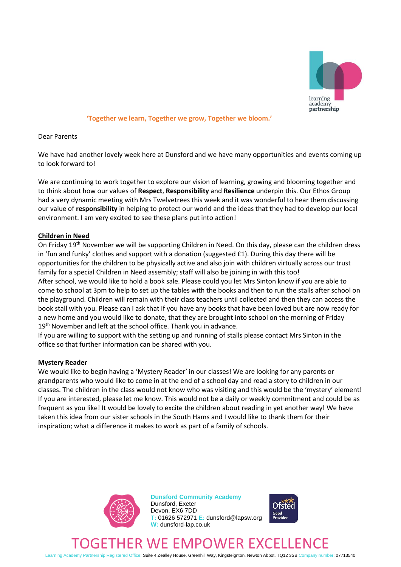

#### **'Together we learn, Together we grow, Together we bloom.'**

Dear Parents

We have had another lovely week here at Dunsford and we have many opportunities and events coming up to look forward to!

We are continuing to work together to explore our vision of learning, growing and blooming together and to think about how our values of **Respect**, **Responsibility** and **Resilience** underpin this. Our Ethos Group had a very dynamic meeting with Mrs Twelvetrees this week and it was wonderful to hear them discussing our value of **responsibility** in helping to protect our world and the ideas that they had to develop our local environment. I am very excited to see these plans put into action!

## **Children in Need**

On Friday 19<sup>th</sup> November we will be supporting Children in Need. On this day, please can the children dress in 'fun and funky' clothes and support with a donation (suggested £1). During this day there will be opportunities for the children to be physically active and also join with children virtually across our trust family for a special Children in Need assembly; staff will also be joining in with this too! After school, we would like to hold a book sale. Please could you let Mrs Sinton know if you are able to come to school at 3pm to help to set up the tables with the books and then to run the stalls after school on the playground. Children will remain with their class teachers until collected and then they can access the book stall with you. Please can I ask that if you have any books that have been loved but are now ready for a new home and you would like to donate, that they are brought into school on the morning of Friday 19<sup>th</sup> November and left at the school office. Thank you in advance.

If you are willing to support with the setting up and running of stalls please contact Mrs Sinton in the office so that further information can be shared with you.

## **Mystery Reader**

We would like to begin having a 'Mystery Reader' in our classes! We are looking for any parents or grandparents who would like to come in at the end of a school day and read a story to children in our classes. The children in the class would not know who was visiting and this would be the 'mystery' element! If you are interested, please let me know. This would not be a daily or weekly commitment and could be as frequent as you like! It would be lovely to excite the children about reading in yet another way! We have taken this idea from our sister schools in the South Hams and I would like to thank them for their inspiration; what a difference it makes to work as part of a family of schools.



**Dunsford Community Academy** Dunsford, Exeter Devon, EX6 7DD **T:** 01626 572971 **E:** dunsford@lapsw.org **W:** dunsford-lap.co.uk



# ETHER WE EMPOWER EXCELL

Learning Academy Partnership Registered Office: Suite 4 Zealley House, Greenhill Way, Kingsteignton, Newton Abbot, TQ12 3SB Company number: 07713540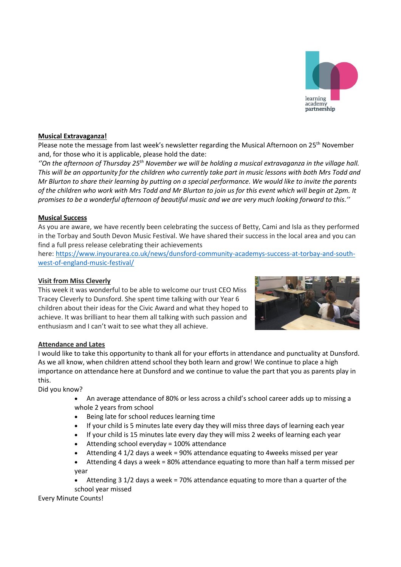## **Musical Extravaganza!**

Please note the message from last week's newsletter regarding the Musical Afternoon on 25<sup>th</sup> November and, for those who it is applicable, please hold the date:

*''On the afternoon of Thursday 25 th November we will be holding a musical extravaganza in the village hall. This will be an opportunity for the children who currently take part in music lessons with both Mrs Todd and Mr Blurton to share their learning by putting on a special performance. We would like to invite the parents of the children who work with Mrs Todd and Mr Blurton to join us for this event which will begin at 2pm. It promises to be a wonderful afternoon of beautiful music and we are very much looking forward to this.''*

# **Musical Success**

As you are aware, we have recently been celebrating the success of Betty, Cami and Isla as they performed in the Torbay and South Devon Music Festival. We have shared their success in the local area and you can find a full press release celebrating their achievements

here: [https://www.inyourarea.co.uk/news/dunsford-community-academys-success-at-torbay-and-south](https://www.inyourarea.co.uk/news/dunsford-community-academys-success-at-torbay-and-south-west-of-england-music-festival/)[west-of-england-music-festival/](https://www.inyourarea.co.uk/news/dunsford-community-academys-success-at-torbay-and-south-west-of-england-music-festival/)

# **Visit from Miss Cleverly**

This week it was wonderful to be able to welcome our trust CEO Miss Tracey Cleverly to Dunsford. She spent time talking with our Year 6 children about their ideas for the Civic Award and what they hoped to achieve. It was brilliant to hear them all talking with such passion and enthusiasm and I can't wait to see what they all achieve.

**Attendance and Lates** I would like to take this opportunity to thank all for your efforts in attendance and punctuality at Dunsford. As we all know, when children attend school they both learn and grow! We continue to place a high importance on attendance here at Dunsford and we continue to value the part that you as parents play in this.

Did you know?

- An average attendance of 80% or less across a child's school career adds up to missing a whole 2 years from school
- Being late for school reduces learning time
- If your child is 5 minutes late every day they will miss three days of learning each year
- If your child is 15 minutes late every day they will miss 2 weeks of learning each year
- Attending school everyday = 100% attendance
- Attending 4 1/2 days a week = 90% attendance equating to 4weeks missed per year
- Attending 4 days a week = 80% attendance equating to more than half a term missed per year
- Attending 3 1/2 days a week = 70% attendance equating to more than a quarter of the school year missed

Every Minute Counts!